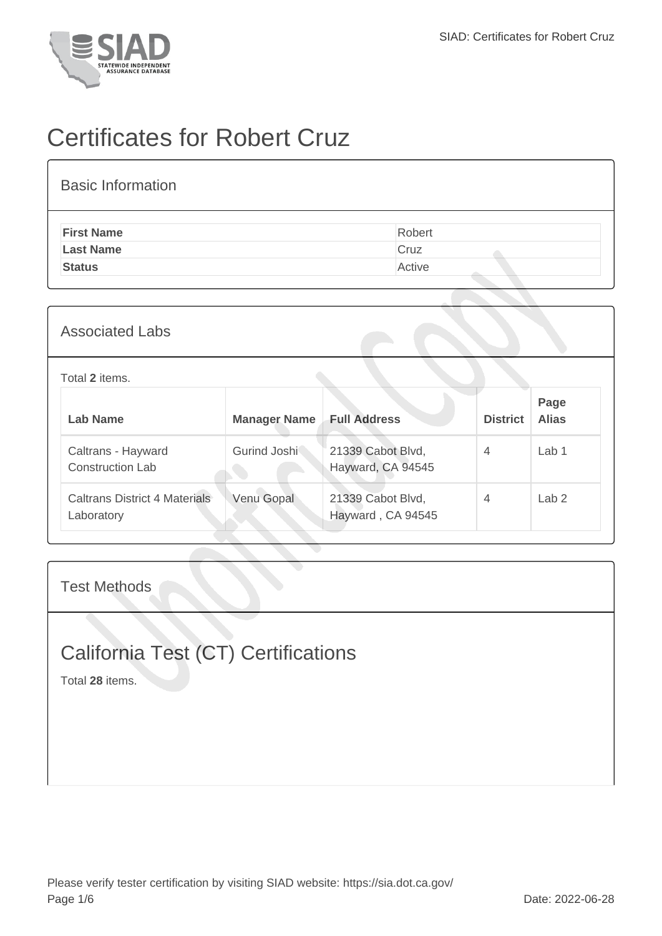

# Certificates for Robert Cruz

| <b>Basic Information</b> |        |
|--------------------------|--------|
| <b>First Name</b>        | Robert |
| <b>Last Name</b>         | Cruz   |
| <b>Status</b>            | Active |
|                          |        |

### Associated Labs

#### Total **2** items.

| Lab Name                                           | <b>Manager Name</b> | <b>Full Address</b>                    | <b>District</b> | Page<br><b>Alias</b> |
|----------------------------------------------------|---------------------|----------------------------------------|-----------------|----------------------|
| Caltrans - Hayward<br><b>Construction Lab</b>      | Gurind Joshi        | 21339 Cabot Blvd,<br>Hayward, CA 94545 | 4               | Lab <sub>1</sub>     |
| <b>Caltrans District 4 Materials</b><br>Laboratory | Venu Gopal          | 21339 Cabot Blvd,<br>Hayward, CA 94545 | 4               | Lab <sub>2</sub>     |

Test Methods

## California Test (CT) Certifications

Total **28** items.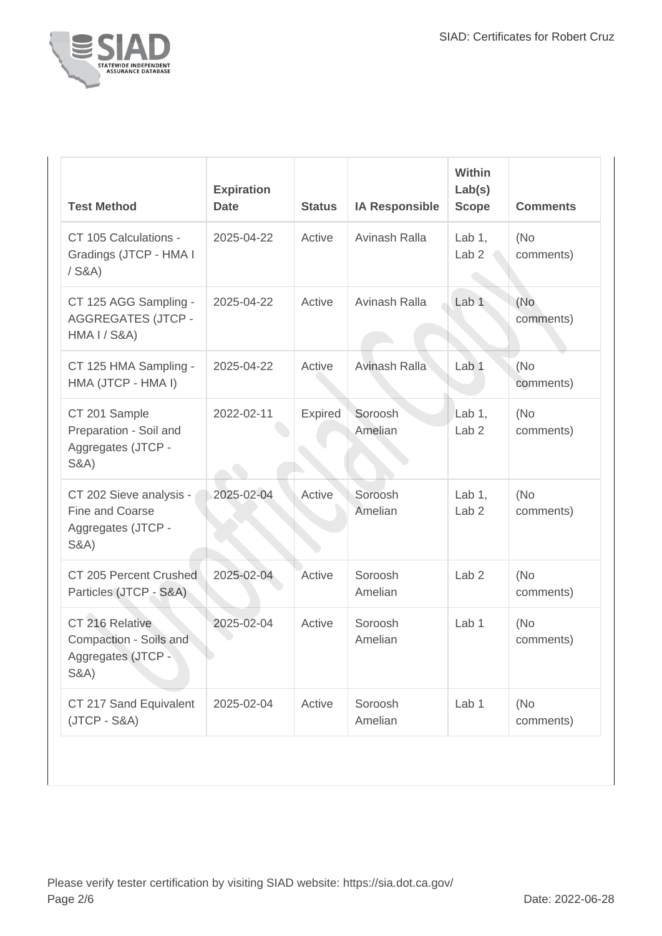

| <b>Test Method</b>                                                                  | <b>Expiration</b><br><b>Date</b> | <b>Status</b>  | <b>IA Responsible</b> | <b>Within</b><br>Lab(s)<br><b>Scope</b> | <b>Comments</b>   |
|-------------------------------------------------------------------------------------|----------------------------------|----------------|-----------------------|-----------------------------------------|-------------------|
| CT 105 Calculations -<br>Gradings (JTCP - HMA I<br>$/$ S&A)                         | 2025-04-22                       | Active         | Avinash Ralla         | Lab $1,$<br>Lab <sub>2</sub>            | (No<br>comments)  |
| CT 125 AGG Sampling -<br><b>AGGREGATES (JTCP -</b><br><b>HMA I / S&amp;A)</b>       | 2025-04-22                       | Active         | Avinash Ralla         | Lab <sub>1</sub>                        | (No<br>comments)  |
| CT 125 HMA Sampling -<br>HMA (JTCP - HMA I)                                         | 2025-04-22                       | Active         | Avinash Ralla         | Lab <sub>1</sub>                        | (No<br>comments)  |
| CT 201 Sample<br>Preparation - Soil and<br>Aggregates (JTCP -<br><b>S&amp;A)</b>    | 2022-02-11                       | <b>Expired</b> | Soroosh<br>Amelian    | Lab $1,$<br>Lab <sub>2</sub>            | (No)<br>comments) |
| CT 202 Sieve analysis -<br>Fine and Coarse<br>Aggregates (JTCP -<br><b>S&amp;A)</b> | 2025-02-04                       | Active         | Soroosh<br>Amelian    | Lab $1,$<br>Lab <sub>2</sub>            | (No<br>comments)  |
| CT 205 Percent Crushed<br>Particles (JTCP - S&A)                                    | 2025-02-04                       | Active         | Soroosh<br>Amelian    | Lab <sub>2</sub>                        | (No<br>comments)  |
| CT 216 Relative<br>Compaction - Soils and<br>Aggregates (JTCP -<br><b>S&amp;A)</b>  | 2025-02-04                       | Active         | Soroosh<br>Amelian    | Lab <sub>1</sub>                        | (No<br>comments)  |
| CT 217 Sand Equivalent<br>$(JTCP - S&A)$                                            | 2025-02-04                       | Active         | Soroosh<br>Amelian    | Lab 1                                   | (No<br>comments)  |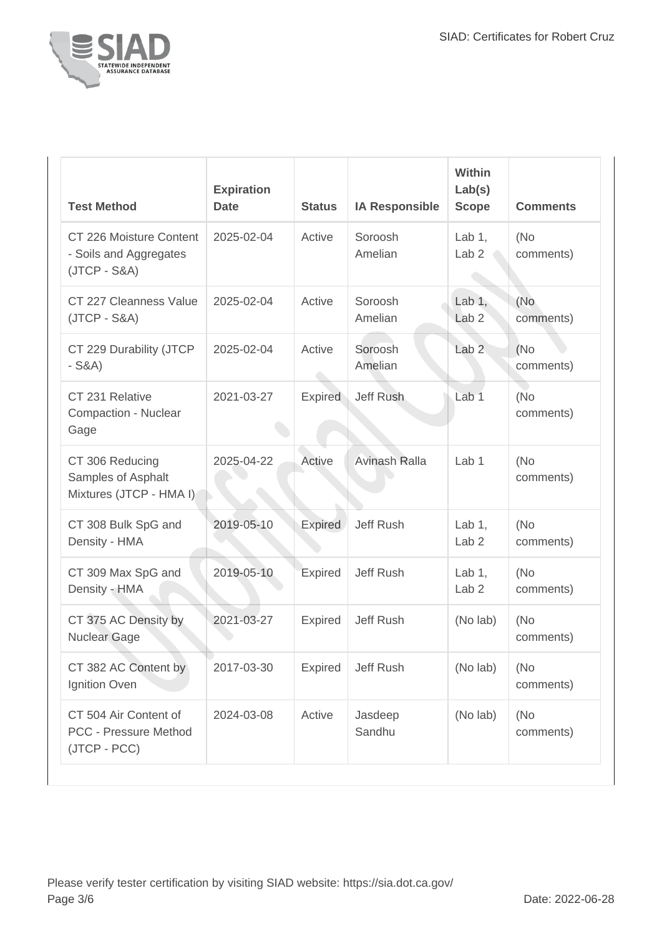

| <b>Test Method</b>                                                    | <b>Expiration</b><br><b>Date</b> | <b>Status</b>  | <b>IA Responsible</b> | Within<br>Lab(s)<br><b>Scope</b> | <b>Comments</b>   |
|-----------------------------------------------------------------------|----------------------------------|----------------|-----------------------|----------------------------------|-------------------|
| CT 226 Moisture Content<br>- Soils and Aggregates<br>$(JTCP - S&A)$   | 2025-02-04                       | Active         | Soroosh<br>Amelian    | Lab $1,$<br>Lab <sub>2</sub>     | (No)<br>comments) |
| CT 227 Cleanness Value<br>$(JTCP - S&A)$                              | 2025-02-04                       | Active         | Soroosh<br>Amelian    | Lab $1,$<br>Lab <sub>2</sub>     | (No<br>comments)  |
| CT 229 Durability (JTCP<br>$-S&A)$                                    | 2025-02-04                       | Active         | Soroosh<br>Amelian    | Lab <sub>2</sub>                 | (No)<br>comments) |
| CT 231 Relative<br>Compaction - Nuclear<br>Gage                       | 2021-03-27                       | <b>Expired</b> | Jeff Rush             | Lab <sub>1</sub>                 | (No<br>comments)  |
| CT 306 Reducing<br>Samples of Asphalt<br>Mixtures (JTCP - HMA I)      | 2025-04-22                       | Active         | <b>Avinash Ralla</b>  | Lab <sub>1</sub>                 | (No<br>comments)  |
| CT 308 Bulk SpG and<br>Density - HMA                                  | 2019-05-10                       | <b>Expired</b> | Jeff Rush             | Lab $1,$<br>Lab <sub>2</sub>     | (No)<br>comments) |
| CT 309 Max SpG and<br>Density - HMA                                   | 2019-05-10                       | Expired        | Jeff Rush             | Lab $1$ ,<br>Lab <sub>2</sub>    | (No<br>comments)  |
| CT 375 AC Density by<br><b>Nuclear Gage</b>                           | 2021-03-27                       | <b>Expired</b> | Jeff Rush             | (No lab)                         | (No<br>comments)  |
| CT 382 AC Content by<br>Ignition Oven                                 | 2017-03-30                       | <b>Expired</b> | <b>Jeff Rush</b>      | (No lab)                         | (No)<br>comments) |
| CT 504 Air Content of<br><b>PCC - Pressure Method</b><br>(JTCP - PCC) | 2024-03-08                       | Active         | Jasdeep<br>Sandhu     | (No lab)                         | (No)<br>comments) |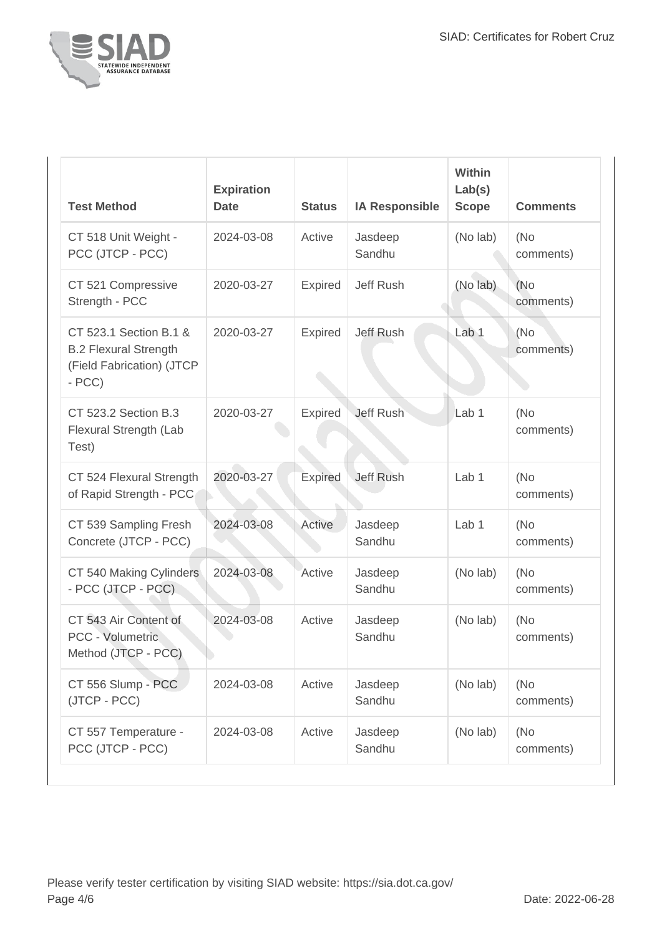

| <b>Test Method</b>                                                                             | <b>Expiration</b><br><b>Date</b> | <b>Status</b>  | <b>IA Responsible</b> | Within<br>Lab(s)<br><b>Scope</b> | <b>Comments</b>   |
|------------------------------------------------------------------------------------------------|----------------------------------|----------------|-----------------------|----------------------------------|-------------------|
| CT 518 Unit Weight -<br>PCC (JTCP - PCC)                                                       | 2024-03-08                       | Active         | Jasdeep<br>Sandhu     | (No lab)                         | (No<br>comments)  |
| CT 521 Compressive<br>Strength - PCC                                                           | 2020-03-27                       | <b>Expired</b> | Jeff Rush             | (No lab)                         | (No)<br>comments) |
| CT 523.1 Section B.1 &<br><b>B.2 Flexural Strength</b><br>(Field Fabrication) (JTCP<br>$- PCC$ | 2020-03-27                       | <b>Expired</b> | Jeff Rush             | Lab 1                            | (No<br>comments)  |
| CT 523.2 Section B.3<br>Flexural Strength (Lab<br>Test)                                        | 2020-03-27                       | <b>Expired</b> | <b>Jeff Rush</b>      | Lab <sub>1</sub>                 | (No<br>comments)  |
| CT 524 Flexural Strength<br>of Rapid Strength - PCC                                            | 2020-03-27                       | <b>Expired</b> | <b>Jeff Rush</b>      | Lab <sub>1</sub>                 | (No<br>comments)  |
| CT 539 Sampling Fresh<br>Concrete (JTCP - PCC)                                                 | 2024-03-08                       | Active         | Jasdeep<br>Sandhu     | Lab <sub>1</sub>                 | (No<br>comments)  |
| CT 540 Making Cylinders<br>- PCC (JTCP - PCC)                                                  | 2024-03-08                       | Active         | Jasdeep<br>Sandhu     | (No lab)                         | (No<br>comments)  |
| CT 543 Air Content of<br>PCC - Volumetric<br>Method (JTCP - PCC)                               | 2024-03-08                       | Active         | Jasdeep<br>Sandhu     | (No lab)                         | (No)<br>comments) |
| CT 556 Slump - PCC<br>(JTCP - PCC)                                                             | 2024-03-08                       | Active         | Jasdeep<br>Sandhu     | (No lab)                         | (No<br>comments)  |
| CT 557 Temperature -<br>PCC (JTCP - PCC)                                                       | 2024-03-08                       | Active         | Jasdeep<br>Sandhu     | (No lab)                         | (No<br>comments)  |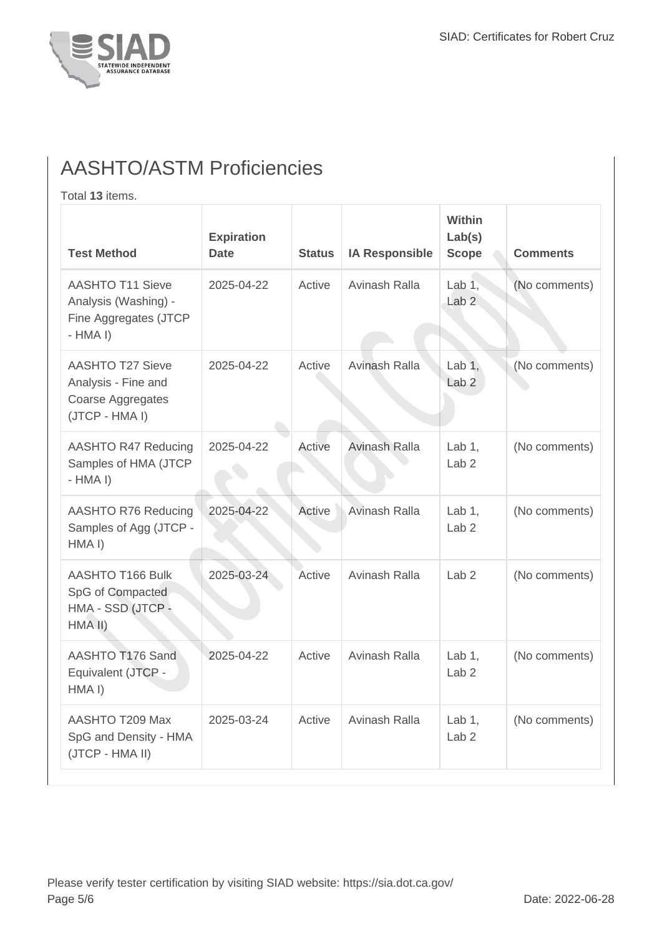

## AASHTO/ASTM Proficiencies

Total **13** items.

| <b>Test Method</b>                                                                    | <b>Expiration</b><br><b>Date</b> | <b>Status</b> | <b>IA Responsible</b> | Within<br>Lab(s)<br><b>Scope</b> | <b>Comments</b> |
|---------------------------------------------------------------------------------------|----------------------------------|---------------|-----------------------|----------------------------------|-----------------|
| <b>AASHTO T11 Sieve</b><br>Analysis (Washing) -<br>Fine Aggregates (JTCP<br>$-HMA I)$ | 2025-04-22                       | Active        | Avinash Ralla         | Lab $1$ ,<br>Lab <sub>2</sub>    | (No comments)   |
| <b>AASHTO T27 Sieve</b><br>Analysis - Fine and<br>Coarse Aggregates<br>(JTCP - HMA I) | 2025-04-22                       | Active        | Avinash Ralla         | Lab $1$ ,<br>Lab <sub>2</sub>    | (No comments)   |
| AASHTO R47 Reducing<br>Samples of HMA (JTCP<br>$-HMA I)$                              | 2025-04-22                       | Active        | <b>Avinash Ralla</b>  | Lab $1$ ,<br>Lab <sub>2</sub>    | (No comments)   |
| <b>AASHTO R76 Reducing</b><br>Samples of Agg (JTCP -<br>HMA <sub>I</sub> )            | 2025-04-22                       | Active        | Avinash Ralla         | Lab $1$ ,<br>Lab <sub>2</sub>    | (No comments)   |
| AASHTO T166 Bulk<br>SpG of Compacted<br>HMA - SSD (JTCP -<br>HMA II)                  | 2025-03-24                       | Active        | Avinash Ralla         | Lab <sub>2</sub>                 | (No comments)   |
| AASHTO T176 Sand<br>Equivalent (JTCP -<br>HMA <sub>I</sub> )                          | 2025-04-22                       | Active        | Avinash Ralla         | Lab $1$ ,<br>Lab <sub>2</sub>    | (No comments)   |
| AASHTO T209 Max<br>SpG and Density - HMA<br>(JTCP - HMA II)                           | 2025-03-24                       | Active        | Avinash Ralla         | Lab $1$ ,<br>Lab <sub>2</sub>    | (No comments)   |